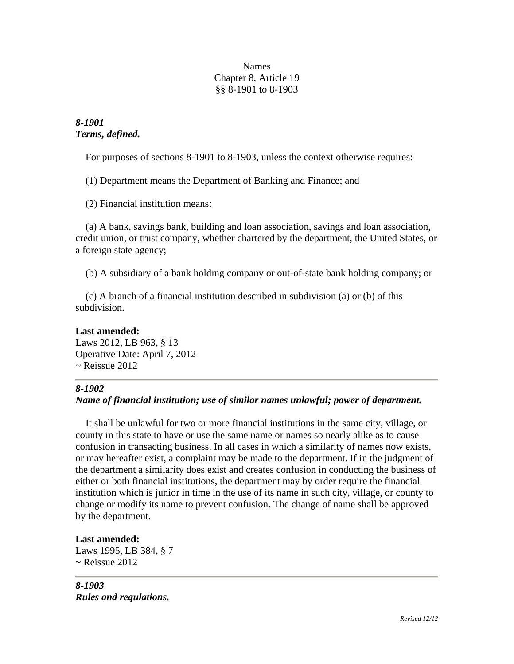#### Names Chapter 8, Article 19 §§ 8-1901 to 8-1903

*8-1901 Terms, defined.*

For purposes of sections 8-1901 to 8-1903, unless the context otherwise requires:

(1) Department means the Department of Banking and Finance; and

(2) Financial institution means:

 (a) A bank, savings bank, building and loan association, savings and loan association, credit union, or trust company, whether chartered by the department, the United States, or a foreign state agency;

(b) A subsidiary of a bank holding company or out-of-state bank holding company; or

 (c) A branch of a financial institution described in subdivision (a) or (b) of this subdivision.

# **Last amended:**

Laws 2012, LB 963, § 13 Operative Date: April 7, 2012  $\sim$  Reissue 2012

## *8-1902*

## *Name of financial institution; use of similar names unlawful; power of department.*

 It shall be unlawful for two or more financial institutions in the same city, village, or county in this state to have or use the same name or names so nearly alike as to cause confusion in transacting business. In all cases in which a similarity of names now exists, or may hereafter exist, a complaint may be made to the department. If in the judgment of the department a similarity does exist and creates confusion in conducting the business of either or both financial institutions, the department may by order require the financial institution which is junior in time in the use of its name in such city, village, or county to change or modify its name to prevent confusion. The change of name shall be approved by the department.

## **Last amended:**

Laws 1995, LB 384, § 7  $\sim$  Reissue 2012

*8-1903 Rules and regulations.*